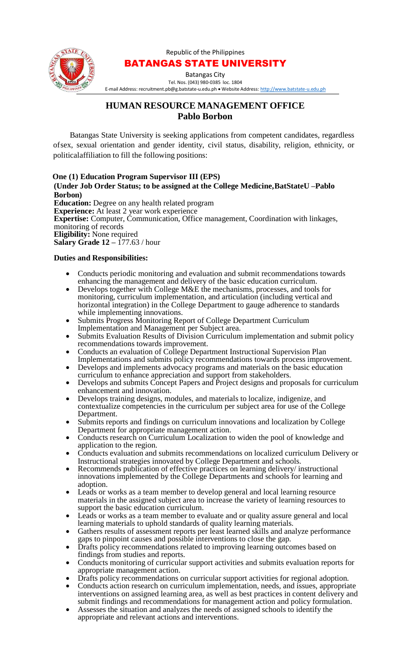

## Republic of the Philippines BATANGAS STATE UNIVERSITY

Batangas City Tel. Nos. (043) 980-0385 loc. 1804

E-mail Address: [recruitment.pb@g.batstate-u.edu.ph](mailto:recruitment.pb@g.batstate-u.edu.ph) • Website Address: [http://www.batstate-u.edu.ph](http://www.batstate-u.edu.ph/)

## **HUMAN RESOURCE MANAGEMENT OFFICE Pablo Borbon**

Batangas State University is seeking applications from competent candidates, regardless ofsex, sexual orientation and gender identity, civil status, disability, religion, ethnicity, or politicalaffiliation to fill the following positions:

**One (1) Education Program Supervisor III (EPS) (Under Job Order Status; to be assigned at the College Medicine, BatStateU –Pablo Borbon) Education:** Degree on any health related program **Experience:** At least 2 year work experience **Expertise:** Computer, Communication, Office management, Coordination with linkages, monitoring of records **Eligibility:** None required **Salary Grade 12 –** 177.63 / hour

## **Duties and Responsibilities:**

- Conducts periodic monitoring and evaluation and submit recommendations towards enhancing the management and delivery of the basic education curriculum.
- Develops together with College M&E the mechanisms, processes, and tools for monitoring, curriculum implementation, and articulation (including vertical and horizontal integration) in the College Department to gauge adherence to standards while implementing innovations.
- Submits Progress Monitoring Report of College Department Curriculum Implementation and Management per Subject area.
- Submits Evaluation Results of Division Curriculum implementation and submit policy recommendations towards improvement.
- Conducts an evaluation of College Department Instructional Supervision Plan Implementations and submits policy recommendations towards process improvement.
- Develops and implements advocacy programs and materials on the basic education curriculum to enhance appreciation and support from stakeholders.
- Develops and submits Concept Papers and Project designs and proposals for curriculum enhancement and innovation.
- Develops training designs, modules, and materials to localize, indigenize, and contextualize competencies in the curriculum per subject area for use of the College Department.
- Submits reports and findings on curriculum innovations and localization by College Department for appropriate management action.
- Conducts research on Curriculum Localization to widen the pool of knowledge and application to the region.
- Conducts evaluation and submits recommendations on localized curriculum Delivery or Instructional strategies innovated by College Department and schools.
- Recommends publication of effective practices on learning delivery/ instructional innovations implemented by the College Departments and schools for learning and adoption.
- Leads or works as a team member to develop general and local learning resource materials in the assigned subject area to increase the variety of learning resources to support the basic education curriculum.
- Leads or works as a team member to evaluate and or quality assure general and local learning materials to uphold standards of quality learning materials.
- Gathers results of assessment reports per least learned skills and analyze performance gaps to pinpoint causes and possible interventions to close the gap.
- Drafts policy recommendations related to improving learning outcomes based on findings from studies and reports.
- Conducts monitoring of curricular support activities and submits evaluation reports for appropriate management action.
- Drafts policy recommendations on curricular support activities for regional adoption.
- Conducts action research on curriculum implementation, needs, and issues, appropriate interventions on assigned learning area, as well as best practices in content delivery and submit findings and recommendations for management action and policy formulation.
- Assesses the situation and analyzes the needs of assigned schools to identify the appropriate and relevant actions and interventions.